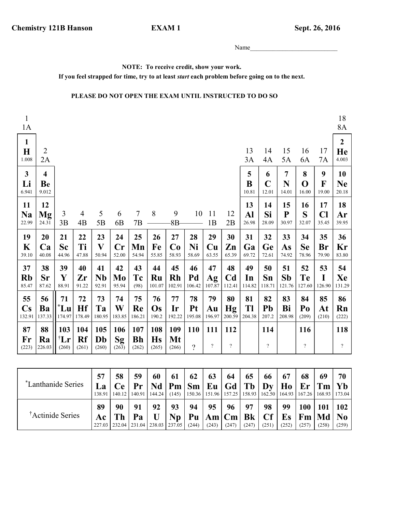## **EXAM1**

Name

NOTE: To receive credit, show your work.

If you feel strapped for time, try to at least *start* each problem before going on to the next.

## PLEASE DO NOT OPEN THE EXAM UNTIL INSTRUCTED TO DO SO

| $\mathbf{1}$<br>1A                     |                                        |                                |                      |                                          |                              |                           |                           |                           |                              |                           |                                |                    |                           |                              |                                        |                           | 18<br>8A                        |
|----------------------------------------|----------------------------------------|--------------------------------|----------------------|------------------------------------------|------------------------------|---------------------------|---------------------------|---------------------------|------------------------------|---------------------------|--------------------------------|--------------------|---------------------------|------------------------------|----------------------------------------|---------------------------|---------------------------------|
| $\mathbf{1}$<br>$\mathbf H$<br>1.008   | 2<br>2A                                |                                |                      |                                          |                              |                           |                           |                           |                              |                           |                                | 13<br>3A           | 14<br>4A                  | 15<br>5A                     | 16<br>6A                               | 17<br><b>7A</b>           | $\boldsymbol{2}$<br>He<br>4.003 |
| $\mathbf{3}$<br>Li<br>6.941            | $\overline{\mathbf{4}}$<br>Be<br>9.012 |                                |                      |                                          |                              |                           |                           |                           |                              |                           |                                | 5<br>B<br>10.81    | 6<br>$\mathbf C$<br>12.01 | $\overline{7}$<br>N<br>14.01 | 8<br>$\mathbf 0$<br>16.00              | 9<br>$\mathbf F$<br>19.00 | 10<br><b>Ne</b><br>20.18        |
| 11<br><b>Na</b><br>22.99               | 12<br>Mg<br>24.31                      | $\mathfrak{Z}$<br>3B           | $\overline{4}$<br>4B | 5<br>5B                                  | 6<br>6B                      | $\overline{7}$<br>7B      | 8                         | 9<br>$8B -$               | 10                           | 11<br>1B                  | 12<br>2B                       | 13<br>Al<br>26.98  | 14<br>Si<br>28.09         | 15<br>${\bf P}$<br>30.97     | 16<br>S<br>32.07                       | 17<br>Cl<br>35.45         | 18<br>Ar<br>39.95               |
| 19<br>K<br>39.10                       | 20<br>Ca<br>40.08                      | 21<br>Sc<br>44.96              | 22<br>Ti<br>47.88    | 23<br>$\boldsymbol{\mathrm{V}}$<br>50.94 | 24<br>$\mathbf{Cr}$<br>52.00 | 25<br>Mn<br>54.94         | 26<br>Fe<br>55.85         | 27<br>Co<br>58.93         | 28<br>Ni<br>58.69            | 29<br>Cu<br>63.55         | 30<br>Zn<br>65.39              | 31<br>Ga<br>69.72  | 32<br>Ge<br>72.61         | 33<br>As<br>74.92            | 34<br><b>Se</b><br>78.96               | 35<br>Br<br>79.90         | 36<br>Kr<br>83.80               |
| 37<br><b>Rb</b><br>85.47               | 38<br>Sr<br>87.62                      | 39<br>Y<br>88.91               | 40<br>Zr<br>91.22    | 41<br><b>Nb</b><br>92.91                 | 42<br>Mo<br>95.94            | 43<br>Tc<br>(98)          | 44<br>Ru<br>101.07        | 45<br><b>Rh</b><br>102.91 | 46<br>Pd<br>106.42           | 47<br>Ag<br>107.87        | 48<br>C <sub>d</sub><br>112.41 | 49<br>In<br>114.82 | 50<br>Sn<br>118.71        | 51<br>Sb<br>121.76           | 52<br>Te<br>127.60                     | 53<br>I<br>126.90         | 54<br>Xe<br>131.29              |
| 55<br>$\mathbf{C}\mathbf{s}$<br>132.91 | 56<br>Ba<br>137.33                     | 71<br>$^*$ Lu<br>174.97        | 72<br>Hf<br>178.49   | 73<br>Ta<br>180.95                       | 74<br>W<br>183.85            | 75<br>Re<br>186.21        | 76<br>Os<br>190.2         | 77<br>Ir<br>192.22        | 78<br><b>Pt</b><br>195.08    | 79<br>Au<br>196.97        | 80<br><b>Hg</b><br>200.59      | 81<br>Tl<br>204.38 | 82<br>Pb<br>207.2         | 83<br>Bi<br>208.98           | 84<br>Po<br>(209)                      | 85<br>At<br>(210)         | 86<br>Rn<br>(222)               |
| 87<br>Fr<br>(223)                      | 88<br>Ra<br>226.03                     | 103<br>$^{\dagger}Lr$<br>(260) | 104<br>Rf<br>(261)   | 105<br>Db<br>(260)                       | 106<br>Sg<br>(263)           | 107<br><b>Bh</b><br>(262) | 108<br><b>Hs</b><br>(265) | 109<br>Mt<br>(266)        | <b>110</b><br>$\overline{?}$ | 111<br>$\overline{\cdot}$ | 112<br>$\overline{?}$          |                    | 114<br>$\overline{?}$     |                              | <b>116</b><br>$\overline{\mathcal{L}}$ |                           | 118<br>$\overline{?}$           |

| *Lanthanide Series           | 57<br>La<br>138.91        | 58<br>Ce<br>140.12 | 59<br>Pr | 60<br>Nd<br>$140.91$   144.24         | 61<br>(145)     | 62<br>$Pm \mid Sm \mid Eu \mid Gd \mid Tb$ | 63          | 64          | 65                           | 66<br>$\mathbf{D}\mathbf{v}$ | 67<br>Ho<br>150.36   151.96   157.25   158.93   162.50   164.93   167.26   168.93   173.04 | 68<br> Er Tm       | 69                 | 70<br>Yb                       |
|------------------------------|---------------------------|--------------------|----------|---------------------------------------|-----------------|--------------------------------------------|-------------|-------------|------------------------------|------------------------------|--------------------------------------------------------------------------------------------|--------------------|--------------------|--------------------------------|
| <sup>†</sup> Actinide Series | 89<br>Ac<br>227.03 232.04 | 90<br>Th           | 91<br>Pa | 92<br>$\mid$ 231.04   238.03   237.05 | 93<br><b>Np</b> | 94<br>(244)                                | 95<br>(243) | 96<br>(247) | 97<br>Pu  Am Cm Bk <br>(247) | 98<br>Cf<br>(251)            | 99<br>Es<br>(252)                                                                          | 100<br>Fm<br>(257) | 101<br>Md<br>(258) | 102<br>N <sub>0</sub><br>(259) |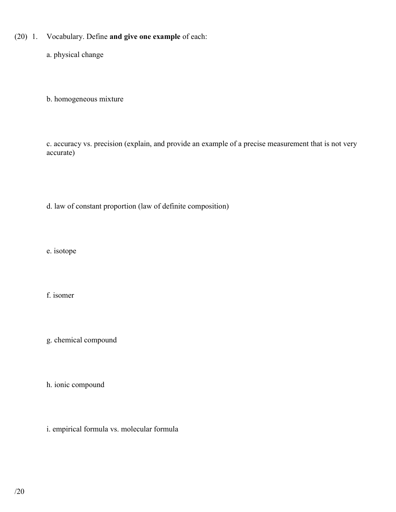(20) 1. Vocabulary. Define and give one example of each:

a. physical change

b. homogeneous mixture

 c. accuracy vs. precision (explain, and provide an example of a precise measurement that is not very accurate)

d. law of constant proportion (law of definite composition)

e. isotope

f. isomer

g. chemical compound

h. ionic compound

i. empirical formula vs. molecular formula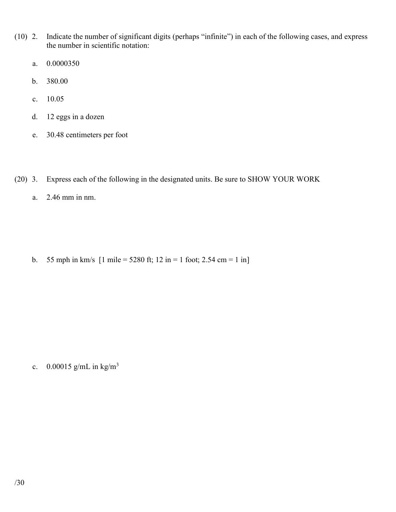- (10) 2. Indicate the number of significant digits (perhaps "infinite") in each of the following cases, and express the number in scientific notation:
	- a. 0.0000350
	- b. 380.00
	- c. 10.05
	- d. 12 eggs in a dozen
	- e. 30.48 centimeters per foot
- (20) 3. Express each of the following in the designated units. Be sure to SHOW YOUR WORK
	- a. 2.46 mm in nm.

b. 55 mph in km/s  $[1 \text{ mile} = 5280 \text{ ft}; 12 \text{ in} = 1 \text{ foot}; 2.54 \text{ cm} = 1 \text{ in}]$ 

c.  $0.00015$  g/mL in kg/m<sup>3</sup>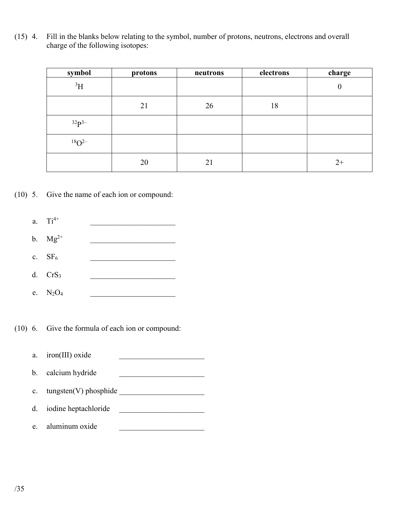(15) 4. Fill in the blanks below relating to the symbol, number of protons, neutrons, electrons and overall charge of the following isotopes:

| symbol         | protons | neutrons | electrons | charge           |
|----------------|---------|----------|-----------|------------------|
| $^3\mathrm{H}$ |         |          |           | $\boldsymbol{0}$ |
|                | 21      | 26       | 18        |                  |
| $32p3-$        |         |          |           |                  |
| $18O^{2-}$     |         |          |           |                  |
|                | 20      | 21       |           | $2+$             |

(10) 5. Give the name of each ion or compound:



- b.  $Mg^{2+}$
- c.  $SF_6$
- d.  $CrS_3$
- e. N<sub>2</sub>O<sub>4</sub>

(10) 6. Give the formula of each ion or compound:

a.  $iron(III)$  oxide b. calcium hydride c. tungsten(V) phosphide d. iodine heptachloride \_\_\_\_\_\_\_\_\_\_\_\_\_\_\_\_\_\_\_\_\_\_ e. aluminum oxide